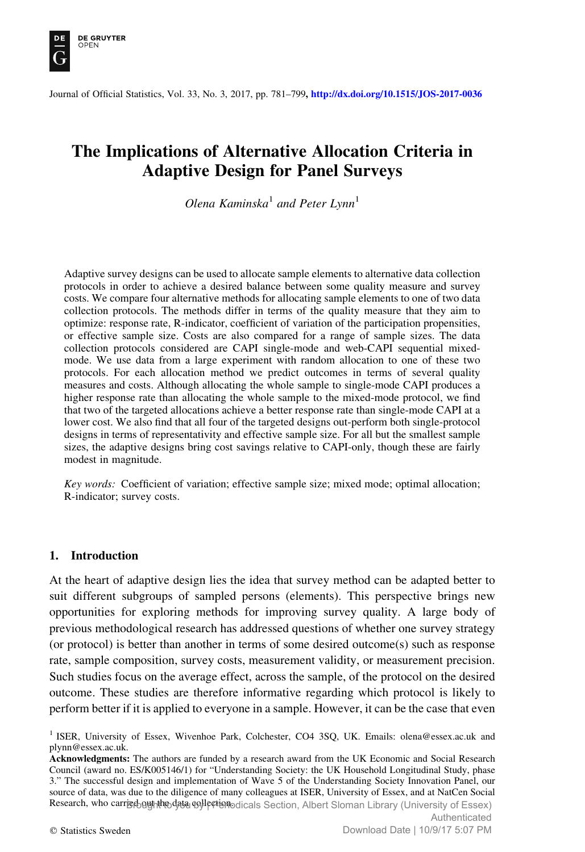

Journal of Official Statistics, Vol. 33, No. 3, 2017, pp. 781–799, <http://dx.doi.org/10.1515/JOS-2017-0036>

# The Implications of Alternative Allocation Criteria in Adaptive Design for Panel Surveys

Olena Kaminska<sup>1</sup> and Peter Lynn<sup>1</sup>

Adaptive survey designs can be used to allocate sample elements to alternative data collection protocols in order to achieve a desired balance between some quality measure and survey costs. We compare four alternative methods for allocating sample elements to one of two data collection protocols. The methods differ in terms of the quality measure that they aim to optimize: response rate, R-indicator, coefficient of variation of the participation propensities, or effective sample size. Costs are also compared for a range of sample sizes. The data collection protocols considered are CAPI single-mode and web-CAPI sequential mixedmode. We use data from a large experiment with random allocation to one of these two protocols. For each allocation method we predict outcomes in terms of several quality measures and costs. Although allocating the whole sample to single-mode CAPI produces a higher response rate than allocating the whole sample to the mixed-mode protocol, we find that two of the targeted allocations achieve a better response rate than single-mode CAPI at a lower cost. We also find that all four of the targeted designs out-perform both single-protocol designs in terms of representativity and effective sample size. For all but the smallest sample sizes, the adaptive designs bring cost savings relative to CAPI-only, though these are fairly modest in magnitude.

Key words: Coefficient of variation; effective sample size; mixed mode; optimal allocation; R-indicator; survey costs.

## 1. Introduction

At the heart of adaptive design lies the idea that survey method can be adapted better to suit different subgroups of sampled persons (elements). This perspective brings new opportunities for exploring methods for improving survey quality. A large body of previous methodological research has addressed questions of whether one survey strategy (or protocol) is better than another in terms of some desired outcome(s) such as response rate, sample composition, survey costs, measurement validity, or measurement precision. Such studies focus on the average effect, across the sample, of the protocol on the desired outcome. These studies are therefore informative regarding which protocol is likely to perform better if it is applied to everyone in a sample. However, it can be the case that even

<sup>&</sup>lt;sup>1</sup> ISER, University of Essex, Wivenhoe Park, Colchester, CO4 3SQ, UK. Emails: olena@essex.ac.uk and plynn@essex.ac.uk.

Acknowledgments: The authors are funded by a research award from the UK Economic and Social Research Council (award no. ES/K005146/1) for "Understanding Society: the UK Household Longitudinal Study, phase 3." The successful design and implementation of Wave 5 of the Understanding Society Innovation Panel, our source of data, was due to the diligence of many colleagues at ISER, University of Essex, and at NatCen Social Research, who carrigoout the data collection odicals Section, Albert Sloman Library (University of Essex)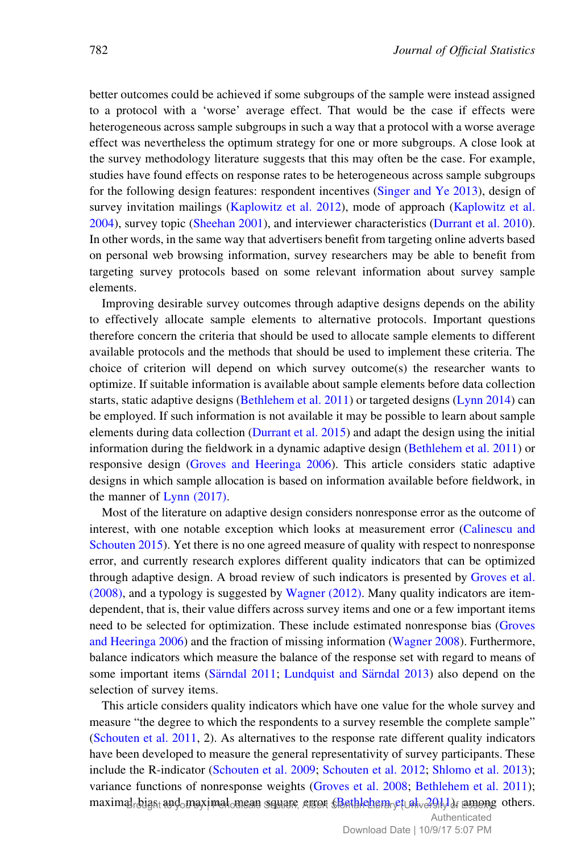better outcomes could be achieved if some subgroups of the sample were instead assigned to a protocol with a 'worse' average effect. That would be the case if effects were heterogeneous across sample subgroups in such a way that a protocol with a worse average effect was nevertheless the optimum strategy for one or more subgroups. A close look at the survey methodology literature suggests that this may often be the case. For example, studies have found effects on response rates to be heterogeneous across sample subgroups for the following design features: respondent incentives ([Singer and Ye 2013](#page-18-0)), design of survey invitation mailings [\(Kaplowitz et al. 2012\)](#page-17-0), mode of approach ([Kaplowitz et al.](#page-17-0) [2004\)](#page-17-0), survey topic ([Sheehan 2001\)](#page-18-0), and interviewer characteristics ([Durrant et al. 2010\)](#page-17-0). In other words, in the same way that advertisers benefit from targeting online adverts based on personal web browsing information, survey researchers may be able to benefit from targeting survey protocols based on some relevant information about survey sample elements.

Improving desirable survey outcomes through adaptive designs depends on the ability to effectively allocate sample elements to alternative protocols. Important questions therefore concern the criteria that should be used to allocate sample elements to different available protocols and the methods that should be used to implement these criteria. The choice of criterion will depend on which survey outcome(s) the researcher wants to optimize. If suitable information is available about sample elements before data collection starts, static adaptive designs [\(Bethlehem et al. 2011\)](#page-16-0) or targeted designs ([Lynn 2014\)](#page-17-0) can be employed. If such information is not available it may be possible to learn about sample elements during data collection [\(Durrant et al. 2015](#page-17-0)) and adapt the design using the initial information during the fieldwork in a dynamic adaptive design [\(Bethlehem et al. 2011](#page-16-0)) or responsive design [\(Groves and Heeringa 2006](#page-17-0)). This article considers static adaptive designs in which sample allocation is based on information available before fieldwork, in the manner of [Lynn \(2017\)](#page-17-0).

Most of the literature on adaptive design considers nonresponse error as the outcome of interest, with one notable exception which looks at measurement error ([Calinescu and](#page-16-0) [Schouten 2015](#page-16-0)). Yet there is no one agreed measure of quality with respect to nonresponse error, and currently research explores different quality indicators that can be optimized through adaptive design. A broad review of such indicators is presented by [Groves et al.](#page-17-0) [\(2008\),](#page-17-0) and a typology is suggested by [Wagner \(2012\).](#page-18-0) Many quality indicators are itemdependent, that is, their value differs across survey items and one or a few important items need to be selected for optimization. These include estimated nonresponse bias ([Groves](#page-17-0) [and Heeringa 2006\)](#page-17-0) and the fraction of missing information ([Wagner 2008\)](#page-18-0). Furthermore, balance indicators which measure the balance of the response set with regard to means of some important items (Särndal  $2011$ ; Lundquist and Särndal  $2013$ ) also depend on the selection of survey items.

This article considers quality indicators which have one value for the whole survey and measure "the degree to which the respondents to a survey resemble the complete sample" [\(Schouten et al. 2011](#page-18-0), 2). As alternatives to the response rate different quality indicators have been developed to measure the general representativity of survey participants. These include the R-indicator [\(Schouten et al. 2009;](#page-18-0) [Schouten et al. 2012](#page-18-0); [Shlomo et al. 2013](#page-18-0)); variance functions of nonresponse weights [\(Groves et al. 2008;](#page-17-0) [Bethlehem et al. 2011](#page-16-0)); maximal bigst and maximal mean square, error sBethlehem et al. 2011 is among others.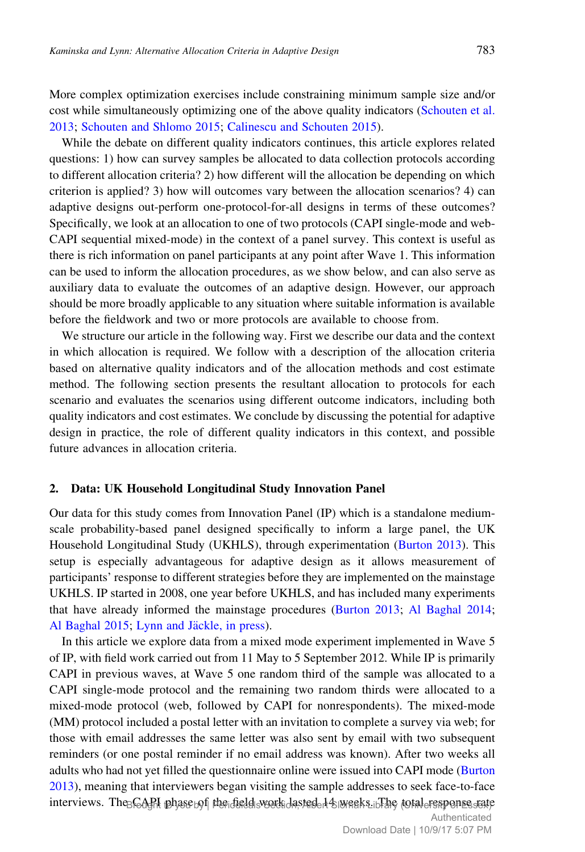More complex optimization exercises include constraining minimum sample size and/or cost while simultaneously optimizing one of the above quality indicators ([Schouten et al.](#page-18-0) [2013;](#page-18-0) [Schouten and Shlomo 2015](#page-18-0); [Calinescu and Schouten 2015](#page-16-0)).

While the debate on different quality indicators continues, this article explores related questions: 1) how can survey samples be allocated to data collection protocols according to different allocation criteria? 2) how different will the allocation be depending on which criterion is applied? 3) how will outcomes vary between the allocation scenarios? 4) can adaptive designs out-perform one-protocol-for-all designs in terms of these outcomes? Specifically, we look at an allocation to one of two protocols (CAPI single-mode and web-CAPI sequential mixed-mode) in the context of a panel survey. This context is useful as there is rich information on panel participants at any point after Wave 1. This information can be used to inform the allocation procedures, as we show below, and can also serve as auxiliary data to evaluate the outcomes of an adaptive design. However, our approach should be more broadly applicable to any situation where suitable information is available before the fieldwork and two or more protocols are available to choose from.

We structure our article in the following way. First we describe our data and the context in which allocation is required. We follow with a description of the allocation criteria based on alternative quality indicators and of the allocation methods and cost estimate method. The following section presents the resultant allocation to protocols for each scenario and evaluates the scenarios using different outcome indicators, including both quality indicators and cost estimates. We conclude by discussing the potential for adaptive design in practice, the role of different quality indicators in this context, and possible future advances in allocation criteria.

#### 2. Data: UK Household Longitudinal Study Innovation Panel

Our data for this study comes from Innovation Panel (IP) which is a standalone mediumscale probability-based panel designed specifically to inform a large panel, the UK Household Longitudinal Study (UKHLS), through experimentation [\(Burton 2013](#page-16-0)). This setup is especially advantageous for adaptive design as it allows measurement of participants' response to different strategies before they are implemented on the mainstage UKHLS. IP started in 2008, one year before UKHLS, and has included many experiments that have already informed the mainstage procedures ([Burton 2013;](#page-16-0) [Al Baghal 2014;](#page-16-0) [Al Baghal 2015;](#page-16-0) Lynn and Jäckle, in press).

In this article we explore data from a mixed mode experiment implemented in Wave 5 of IP, with field work carried out from 11 May to 5 September 2012. While IP is primarily CAPI in previous waves, at Wave 5 one random third of the sample was allocated to a CAPI single-mode protocol and the remaining two random thirds were allocated to a mixed-mode protocol (web, followed by CAPI for nonrespondents). The mixed-mode (MM) protocol included a postal letter with an invitation to complete a survey via web; for those with email addresses the same letter was also sent by email with two subsequent reminders (or one postal reminder if no email address was known). After two weeks all adults who had not yet filled the questionnaire online were issued into CAPI mode ([Burton](#page-16-0) [2013\)](#page-16-0), meaning that interviewers began visiting the sample addresses to seek face-to-face interviews. The GAPI phase of the ded work dasted a sweeks. IF hy total response sate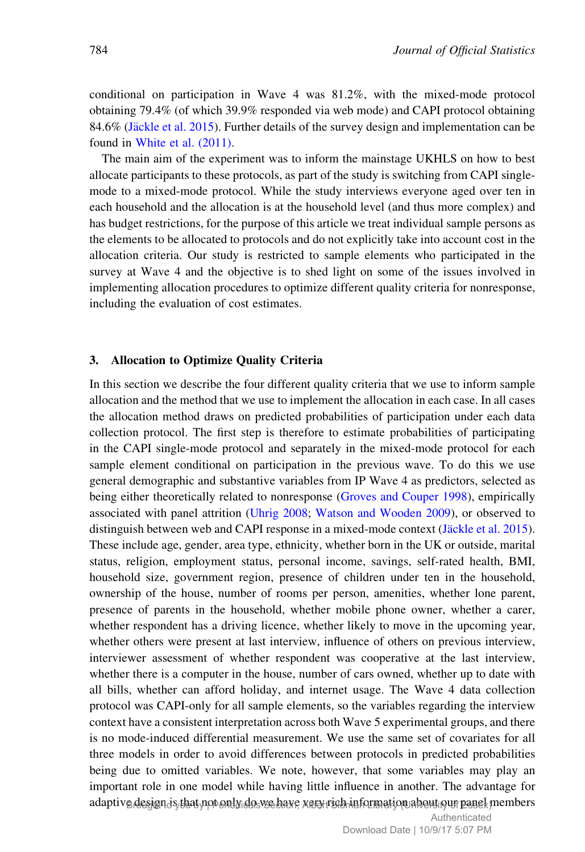conditional on participation in Wave 4 was 81.2%, with the mixed-mode protocol obtaining 79.4% (of which 39.9% responded via web mode) and CAPI protocol obtaining  $84.6\%$  (Jäckle et al. 2015). Further details of the survey design and implementation can be found in [White et al. \(2011\)](#page-18-0).

The main aim of the experiment was to inform the mainstage UKHLS on how to best allocate participants to these protocols, as part of the study is switching from CAPI singlemode to a mixed-mode protocol. While the study interviews everyone aged over ten in each household and the allocation is at the household level (and thus more complex) and has budget restrictions, for the purpose of this article we treat individual sample persons as the elements to be allocated to protocols and do not explicitly take into account cost in the allocation criteria. Our study is restricted to sample elements who participated in the survey at Wave 4 and the objective is to shed light on some of the issues involved in implementing allocation procedures to optimize different quality criteria for nonresponse, including the evaluation of cost estimates.

### 3. Allocation to Optimize Quality Criteria

In this section we describe the four different quality criteria that we use to inform sample allocation and the method that we use to implement the allocation in each case. In all cases the allocation method draws on predicted probabilities of participation under each data collection protocol. The first step is therefore to estimate probabilities of participating in the CAPI single-mode protocol and separately in the mixed-mode protocol for each sample element conditional on participation in the previous wave. To do this we use general demographic and substantive variables from IP Wave 4 as predictors, selected as being either theoretically related to nonresponse [\(Groves and Couper 1998\)](#page-17-0), empirically associated with panel attrition [\(Uhrig 2008;](#page-18-0) [Watson and Wooden 2009\)](#page-18-0), or observed to distinguish between web and CAPI response in a mixed-mode context (Jäckle et al. 2015). These include age, gender, area type, ethnicity, whether born in the UK or outside, marital status, religion, employment status, personal income, savings, self-rated health, BMI, household size, government region, presence of children under ten in the household, ownership of the house, number of rooms per person, amenities, whether lone parent, presence of parents in the household, whether mobile phone owner, whether a carer, whether respondent has a driving licence, whether likely to move in the upcoming year, whether others were present at last interview, influence of others on previous interview, interviewer assessment of whether respondent was cooperative at the last interview, whether there is a computer in the house, number of cars owned, whether up to date with all bills, whether can afford holiday, and internet usage. The Wave 4 data collection protocol was CAPI-only for all sample elements, so the variables regarding the interview context have a consistent interpretation across both Wave 5 experimental groups, and there is no mode-induced differential measurement. We use the same set of covariates for all three models in order to avoid differences between protocols in predicted probabilities being due to omitted variables. We note, however, that some variables may play an important role in one model while having little influence in another. The advantage for adaptive desjen is that not only do we have very rish information about our panel members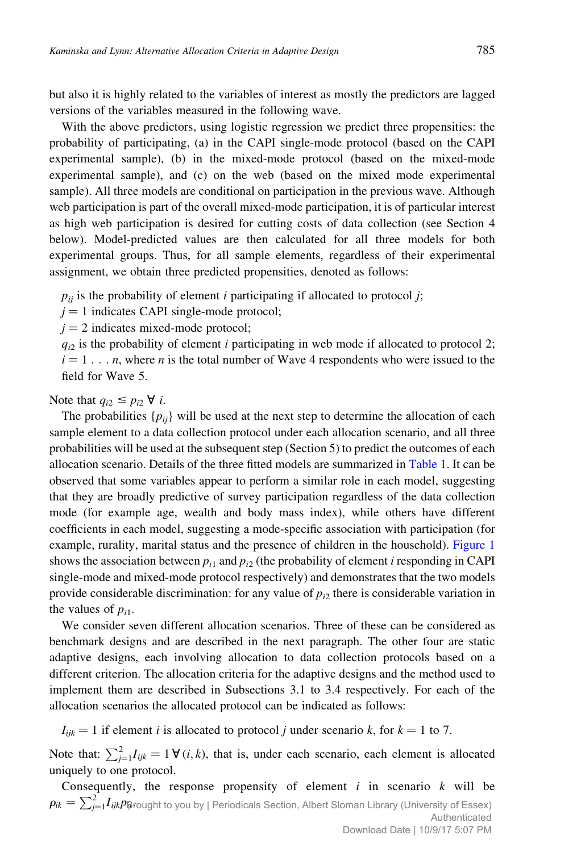but also it is highly related to the variables of interest as mostly the predictors are lagged versions of the variables measured in the following wave.

With the above predictors, using logistic regression we predict three propensities: the probability of participating, (a) in the CAPI single-mode protocol (based on the CAPI experimental sample), (b) in the mixed-mode protocol (based on the mixed-mode experimental sample), and (c) on the web (based on the mixed mode experimental sample). All three models are conditional on participation in the previous wave. Although web participation is part of the overall mixed-mode participation, it is of particular interest as high web participation is desired for cutting costs of data collection (see Section 4 below). Model-predicted values are then calculated for all three models for both experimental groups. Thus, for all sample elements, regardless of their experimental assignment, we obtain three predicted propensities, denoted as follows:

 $p_{ij}$  is the probability of element *i* participating if allocated to protocol *j*;

 $j = 1$  indicates CAPI single-mode protocol;

 $j = 2$  indicates mixed-mode protocol;

 $q_{i2}$  is the probability of element *i* participating in web mode if allocated to protocol 2;  $i = 1 \dots n$ , where n is the total number of Wave 4 respondents who were issued to the field for Wave 5.

# Note that  $q_{i2} \leq p_{i2} \forall i$ .

The probabilities  $\{p_{ij}\}\$  will be used at the next step to determine the allocation of each sample element to a data collection protocol under each allocation scenario, and all three probabilities will be used at the subsequent step (Section 5) to predict the outcomes of each allocation scenario. Details of the three fitted models are summarized in [Table 1](#page-5-0). It can be observed that some variables appear to perform a similar role in each model, suggesting that they are broadly predictive of survey participation regardless of the data collection mode (for example age, wealth and body mass index), while others have different coefficients in each model, suggesting a mode-specific association with participation (for example, rurality, marital status and the presence of children in the household). [Figure 1](#page-6-0) shows the association between  $p_{i1}$  and  $p_{i2}$  (the probability of element *i* responding in CAPI single-mode and mixed-mode protocol respectively) and demonstrates that the two models provide considerable discrimination: for any value of  $p_{i2}$  there is considerable variation in the values of  $p_{i1}$ .

We consider seven different allocation scenarios. Three of these can be considered as benchmark designs and are described in the next paragraph. The other four are static adaptive designs, each involving allocation to data collection protocols based on a different criterion. The allocation criteria for the adaptive designs and the method used to implement them are described in Subsections 3.1 to 3.4 respectively. For each of the allocation scenarios the allocated protocol can be indicated as follows:

 $I_{ijk} = 1$  if element *i* is allocated to protocol *j* under scenario *k*, for  $k = 1$  to 7.

Note that:  $\sum_{j=1}^{2} I_{ijk} = 1 \forall (i, k)$ , that is, under each scenario, each element is allocated uniquely to one protocol.

Consequently, the response propensity of element  $i$  in scenario  $k$  will be  $\rho_{ik} = \sum_{j=1}^{2} I_{ijk} p_{\text{ground}}$  to you by | Periodicals Section, Albert Sloman Library (University of Essex) Authenticated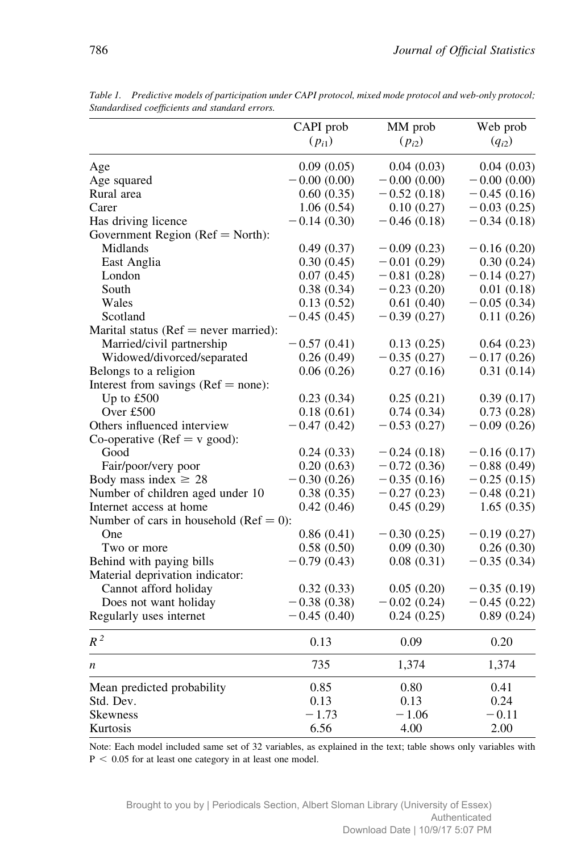|                                            | CAPI prob     | MM prob       | Web prob      |
|--------------------------------------------|---------------|---------------|---------------|
|                                            | $(p_{i1})$    | $(p_{i2})$    | $(q_{i2})$    |
| Age                                        | 0.09(0.05)    | 0.04(0.03)    | 0.04(0.03)    |
| Age squared                                | $-0.00(0.00)$ | $-0.00(0.00)$ | $-0.00(0.00)$ |
| Rural area                                 | 0.60(0.35)    | $-0.52(0.18)$ | $-0.45(0.16)$ |
| Carer                                      | 1.06(0.54)    | 0.10(0.27)    | $-0.03(0.25)$ |
| Has driving licence                        | $-0.14(0.30)$ | $-0.46(0.18)$ | $-0.34(0.18)$ |
| Government Region ( $Ref = North$ ):       |               |               |               |
| Midlands                                   | 0.49(0.37)    | $-0.09(0.23)$ | $-0.16(0.20)$ |
| East Anglia                                | 0.30(0.45)    | $-0.01(0.29)$ | 0.30(0.24)    |
| London                                     | 0.07(0.45)    | $-0.81(0.28)$ | $-0.14(0.27)$ |
| South                                      | 0.38(0.34)    | $-0.23(0.20)$ | 0.01(0.18)    |
| Wales                                      | 0.13(0.52)    | 0.61(0.40)    | $-0.05(0.34)$ |
| Scotland                                   | $-0.45(0.45)$ | $-0.39(0.27)$ | 0.11(0.26)    |
| Marital status ( $Ref = never married$ ):  |               |               |               |
| Married/civil partnership                  | $-0.57(0.41)$ | 0.13(0.25)    | 0.64(0.23)    |
| Widowed/divorced/separated                 | 0.26(0.49)    | $-0.35(0.27)$ | $-0.17(0.26)$ |
| Belongs to a religion                      | 0.06(0.26)    | 0.27(0.16)    | 0.31(0.14)    |
| Interest from savings ( $Ref = none$ ):    |               |               |               |
| Up to £500                                 | 0.23(0.34)    | 0.25(0.21)    | 0.39(0.17)    |
| Over $£500$                                | 0.18(0.61)    | 0.74(0.34)    | 0.73(0.28)    |
| Others influenced interview                | 0.47(0.42)    | $-0.53(0.27)$ | $-0.09(0.26)$ |
| Co-operative ( $Ref = v$ good):            |               |               |               |
| Good                                       | 0.24(0.33)    | $-0.24(0.18)$ | $-0.16(0.17)$ |
| Fair/poor/very poor                        | 0.20(0.63)    | $-0.72(0.36)$ | $-0.88(0.49)$ |
| Body mass index $\geq 28$                  | 0.30(0.26)    | $-0.35(0.16)$ | $-0.25(0.15)$ |
| Number of children aged under 10           | 0.38(0.35)    | $-0.27(0.23)$ | $-0.48(0.21)$ |
| Internet access at home                    | 0.42(0.46)    | 0.45(0.29)    | 1.65(0.35)    |
| Number of cars in household ( $Ref = 0$ ): |               |               |               |
| One                                        | 0.86(0.41)    | $-0.30(0.25)$ | $-0.19(0.27)$ |
| Two or more                                | 0.58(0.50)    | 0.09(0.30)    | 0.26(0.30)    |
| Behind with paying bills                   | $-0.79(0.43)$ | 0.08(0.31)    | $-0.35(0.34)$ |
| Material deprivation indicator:            |               |               |               |
| Cannot afford holiday                      | 0.32(0.33)    | 0.05(0.20)    | $-0.35(0.19)$ |
| Does not want holiday                      | $-0.38(0.38)$ | $-0.02(0.24)$ | $-0.45(0.22)$ |
| Regularly uses internet                    | $-0.45(0.40)$ | 0.24(0.25)    | 0.89(0.24)    |
| $R^2$                                      | 0.13          | 0.09          | 0.20          |
| n                                          | 735           | 1,374         | 1,374         |
|                                            |               |               |               |
| Mean predicted probability                 | 0.85          | 0.80          | 0.41          |
| Std. Dev.                                  | 0.13          | 0.13          | 0.24          |
| <b>Skewness</b>                            | $-1.73$       | $-1.06$       | $-0.11$       |
| Kurtosis                                   | 6.56          | 4.00          | 2.00          |

<span id="page-5-0"></span>Table 1. Predictive models of participation under CAPI protocol, mixed mode protocol and web-only protocol; Standardised coefficients and standard errors.

Note: Each model included same set of 32 variables, as explained in the text; table shows only variables with  $P < 0.05$  for at least one category in at least one model.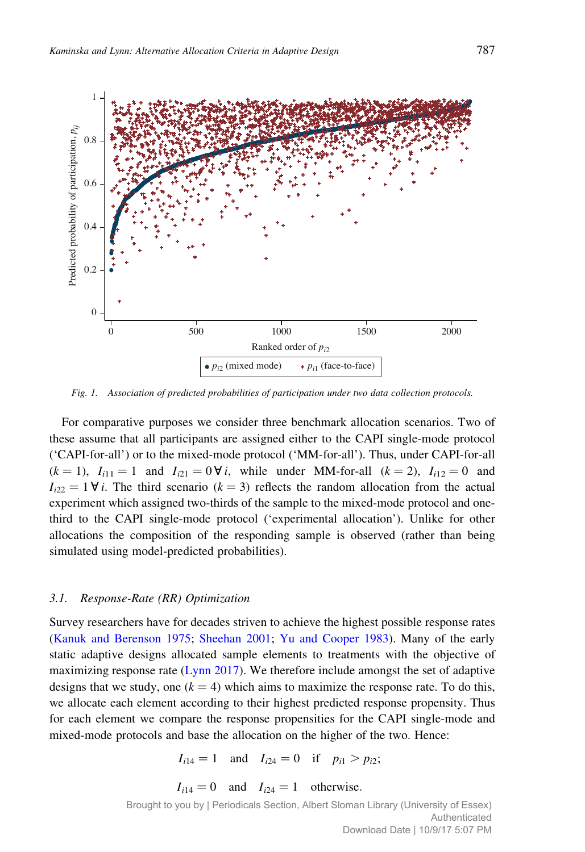<span id="page-6-0"></span>

Fig. 1. Association of predicted probabilities of participation under two data collection protocols.

For comparative purposes we consider three benchmark allocation scenarios. Two of these assume that all participants are assigned either to the CAPI single-mode protocol ('CAPI-for-all') or to the mixed-mode protocol ('MM-for-all'). Thus, under CAPI-for-all  $(k = 1)$ ,  $I_{i11} = 1$  and  $I_{i21} = 0 \forall i$ , while under MM-for-all  $(k = 2)$ ,  $I_{i12} = 0$  and  $I_{i22} = 1 \forall i$ . The third scenario (k = 3) reflects the random allocation from the actual experiment which assigned two-thirds of the sample to the mixed-mode protocol and onethird to the CAPI single-mode protocol ('experimental allocation'). Unlike for other allocations the composition of the responding sample is observed (rather than being simulated using model-predicted probabilities).

#### 3.1. Response-Rate (RR) Optimization

Survey researchers have for decades striven to achieve the highest possible response rates [\(Kanuk and Berenson 1975;](#page-17-0) [Sheehan 2001](#page-18-0); [Yu and Cooper 1983\)](#page-18-0). Many of the early static adaptive designs allocated sample elements to treatments with the objective of maximizing response rate ([Lynn 2017](#page-17-0)). We therefore include amongst the set of adaptive designs that we study, one  $(k = 4)$  which aims to maximize the response rate. To do this, we allocate each element according to their highest predicted response propensity. Thus for each element we compare the response propensities for the CAPI single-mode and mixed-mode protocols and base the allocation on the higher of the two. Hence:

$$
I_{i14} = 1
$$
 and  $I_{i24} = 0$  if  $p_{i1} > p_{i2}$ ;

 $I_{i14} = 0$  and  $I_{i24} = 1$  otherwise. Brought to you by | Periodicals Section, Albert Sloman Library (University of Essex) Authenticated Download Date | 10/9/17 5:07 PM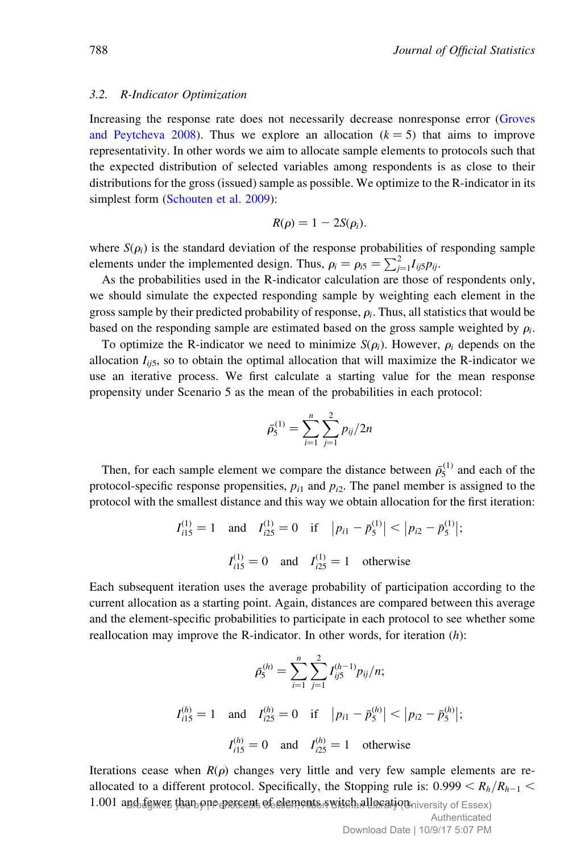## 3.2. R-Indicator Optimization

Increasing the response rate does not necessarily decrease nonresponse error ([Groves](#page-17-0) [and Peytcheva 2008\)](#page-17-0). Thus we explore an allocation  $(k = 5)$  that aims to improve representativity. In other words we aim to allocate sample elements to protocols such that the expected distribution of selected variables among respondents is as close to their distributions for the gross (issued) sample as possible. We optimize to the R-indicator in its simplest form [\(Schouten et al. 2009](#page-18-0)):

$$
R(\rho)=1-2S(\rho_i).
$$

where  $S(\rho_i)$  is the standard deviation of the response probabilities of responding sample elements under the implemented design. Thus,  $\rho_i = \rho_{i5} = \sum_{j=1}^{2} I_{ij5} p_{ij}$ .

As the probabilities used in the R-indicator calculation are those of respondents only, we should simulate the expected responding sample by weighting each element in the gross sample by their predicted probability of response,  $\rho_i$ . Thus, all statistics that would be based on the responding sample are estimated based on the gross sample weighted by  $\rho_i$ .

To optimize the R-indicator we need to minimize  $S(\rho_i)$ . However,  $\rho_i$  depends on the allocation  $I_{ij5}$ , so to obtain the optimal allocation that will maximize the R-indicator we use an iterative process. We first calculate a starting value for the mean response propensity under Scenario 5 as the mean of the probabilities in each protocol:

$$
\bar{\rho}_5^{(1)} = \sum_{i=1}^n \sum_{j=1}^2 p_{ij}/2n
$$

Then, for each sample element we compare the distance between  $\bar{\rho}_5^{(1)}$  and each of the protocol-specific response propensities,  $p_{i1}$  and  $p_{i2}$ . The panel member is assigned to the protocol with the smallest distance and this way we obtain allocation for the first iteration:

$$
I_{i15}^{(1)} = 1 \quad \text{and} \quad I_{i25}^{(1)} = 0 \quad \text{if} \quad |p_{i1} - \bar{p}_5^{(1)}| < |p_{i2} - \bar{p}_5^{(1)}|;
$$
\n
$$
I_{i15}^{(1)} = 0 \quad \text{and} \quad I_{i25}^{(1)} = 1 \quad \text{otherwise}
$$

Each subsequent iteration uses the average probability of participation according to the current allocation as a starting point. Again, distances are compared between this average and the element-specific probabilities to participate in each protocol to see whether some reallocation may improve the R-indicator. In other words, for iteration  $(h)$ :

$$
\bar{\rho}_5^{(h)} = \sum_{i=1}^n \sum_{j=1}^2 I_{ij5}^{(h-1)} p_{ij}/n;
$$
  
\n
$$
I_{i15}^{(h)} = 1 \text{ and } I_{i25}^{(h)} = 0 \text{ if } |p_{i1} - \bar{p}_5^{(h)}| < |p_{i2} - \bar{p}_5^{(h)}|;
$$
  
\n
$$
I_{i15}^{(h)} = 0 \text{ and } I_{i25}^{(h)} = 1 \text{ otherwise}
$$

Iterations cease when  $R(\rho)$  changes very little and very few sample elements are reallocated to a different protocol. Specifically, the Stopping rule is:  $0.999 \le R_h/R_{h-1} \le$ 1.001 and fewer than oper percent of elements switch all peation. I resex)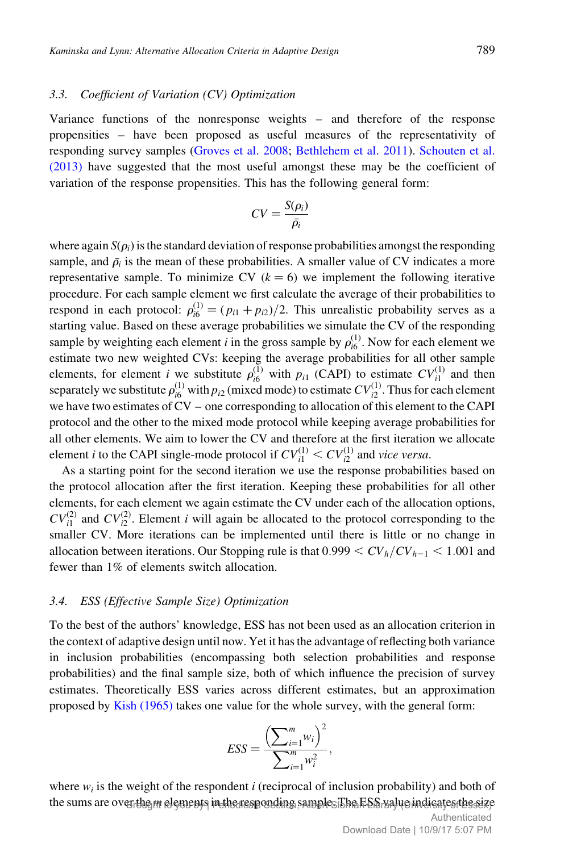## 3.3. Coefficient of Variation (CV) Optimization

Variance functions of the nonresponse weights – and therefore of the response propensities – have been proposed as useful measures of the representativity of responding survey samples [\(Groves et al. 2008;](#page-17-0) [Bethlehem et al. 2011](#page-16-0)). [Schouten et al.](#page-18-0) [\(2013\)](#page-18-0) have suggested that the most useful amongst these may be the coefficient of variation of the response propensities. This has the following general form:

$$
CV = \frac{S(\rho_i)}{\bar{\rho}_i}
$$

where again  $S(\rho_i)$  is the standard deviation of response probabilities amongst the responding sample, and  $\bar{\rho}_i$  is the mean of these probabilities. A smaller value of CV indicates a more representative sample. To minimize CV  $(k = 6)$  we implement the following iterative procedure. For each sample element we first calculate the average of their probabilities to respond in each protocol:  $\rho_{i6}^{(1)} = (p_{i1} + p_{i2})/2$ . This unrealistic probability serves as a starting value. Based on these average probabilities we simulate the CV of the responding sample by weighting each element *i* in the gross sample by  $\rho_{i6}^{(1)}$ . Now for each element we estimate two new weighted CVs: keeping the average probabilities for all other sample elements, for element *i* we substitute  $\rho_{i6}^{(1)}$  with  $p_{i1}$  (CAPI) to estimate  $CV_{i1}^{(1)}$  and then separately we substitute  $\rho_{i6}^{(1)}$  with  $p_{i2}$  (mixed mode) to estimate  $CV_{i2}^{(1)}$ . Thus for each element we have two estimates of CV – one corresponding to allocation of this element to the CAPI protocol and the other to the mixed mode protocol while keeping average probabilities for all other elements. We aim to lower the CV and therefore at the first iteration we allocate element *i* to the CAPI single-mode protocol if  $CV_{i1}^{(1)} < CV_{i2}^{(1)}$  and *vice versa*.

As a starting point for the second iteration we use the response probabilities based on the protocol allocation after the first iteration. Keeping these probabilities for all other elements, for each element we again estimate the CV under each of the allocation options,  $CV_{i1}^{(2)}$  and  $CV_{i2}^{(2)}$ . Element *i* will again be allocated to the protocol corresponding to the smaller CV. More iterations can be implemented until there is little or no change in allocation between iterations. Our Stopping rule is that  $0.999 \le CV_h/CV_{h-1} \le 1.001$  and fewer than 1% of elements switch allocation.

#### 3.4. ESS (Effective Sample Size) Optimization

To the best of the authors' knowledge, ESS has not been used as an allocation criterion in the context of adaptive design until now. Yet it has the advantage of reflecting both variance in inclusion probabilities (encompassing both selection probabilities and response probabilities) and the final sample size, both of which influence the precision of survey estimates. Theoretically ESS varies across different estimates, but an approximation proposed by [Kish \(1965\)](#page-17-0) takes one value for the whole survey, with the general form:

$$
ESS = \frac{\left(\sum_{i=1}^{m} w_i\right)^2}{\sum_{i=1}^{m} w_i^2},
$$

where  $w_i$  is the weight of the respondent *i* (reciprocal of inclusion probability) and both of the sums are over the m elements in the responding samples The ESS ray ye indicates the suze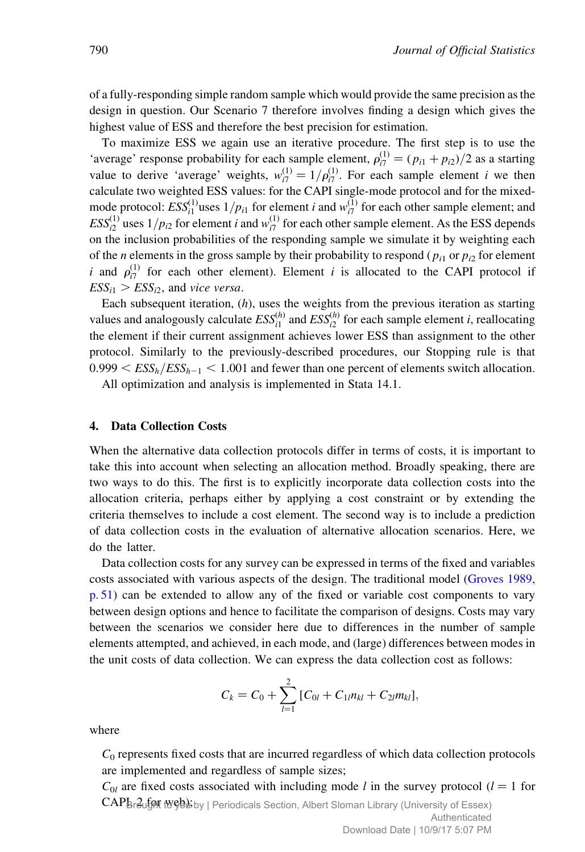of a fully-responding simple random sample which would provide the same precision as the design in question. Our Scenario 7 therefore involves finding a design which gives the highest value of ESS and therefore the best precision for estimation.

To maximize ESS we again use an iterative procedure. The first step is to use the 'average' response probability for each sample element,  $\rho_{i7}^{(1)} = (p_{i1} + p_{i2})/2$  as a starting value to derive 'average' weights,  $w_{i7}^{(1)} = 1/\rho_{i7}^{(1)}$ . For each sample element *i* we then calculate two weighted ESS values: for the CAPI single-mode protocol and for the mixedmode protocol:  $ESS_{i1}^{(1)}$  uses  $1/p_{i1}$  for element *i* and  $w_{i7}^{(1)}$  for each other sample element; and  $ESS_{i2}^{(1)}$  uses  $1/p_{i2}$  for element i and  $w_{i7}^{(1)}$  for each other sample element. As the ESS depends on the inclusion probabilities of the responding sample we simulate it by weighting each of the *n* elements in the gross sample by their probability to respond ( $p_{i1}$  or  $p_{i2}$  for element i and  $\rho_{i7}^{(1)}$  for each other element). Element i is allocated to the CAPI protocol if  $ESS_{i1} > ESS_{i2}$ , and vice versa.

Each subsequent iteration,  $(h)$ , uses the weights from the previous iteration as starting values and analogously calculate  $ESS_{i1}^{(h)}$  and  $ESS_{i2}^{(h)}$  for each sample element *i*, reallocating the element if their current assignment achieves lower ESS than assignment to the other protocol. Similarly to the previously-described procedures, our Stopping rule is that  $0.999 \leq ESS_h/ESS_{h-1} \leq 1.001$  and fewer than one percent of elements switch allocation.

All optimization and analysis is implemented in Stata 14.1.

## 4. Data Collection Costs

When the alternative data collection protocols differ in terms of costs, it is important to take this into account when selecting an allocation method. Broadly speaking, there are two ways to do this. The first is to explicitly incorporate data collection costs into the allocation criteria, perhaps either by applying a cost constraint or by extending the criteria themselves to include a cost element. The second way is to include a prediction of data collection costs in the evaluation of alternative allocation scenarios. Here, we do the latter.

Data collection costs for any survey can be expressed in terms of the fixed and variables costs associated with various aspects of the design. The traditional model [\(Groves 1989,](#page-17-0) [p. 51](#page-17-0)) can be extended to allow any of the fixed or variable cost components to vary between design options and hence to facilitate the comparison of designs. Costs may vary between the scenarios we consider here due to differences in the number of sample elements attempted, and achieved, in each mode, and (large) differences between modes in the unit costs of data collection. We can express the data collection cost as follows:

$$
C_k = C_0 + \sum_{l=1}^{2} [C_{0l} + C_{1l}n_{kl} + C_{2l}m_{kl}],
$$

where

 $C_0$  represents fixed costs that are incurred regardless of which data collection protocols are implemented and regardless of sample sizes;

 $C_{0l}$  are fixed costs associated with including mode l in the survey protocol (l = 1 for  $\mathsf{CAPB}_r$ பூ $\mathsf{for}$  t $\mathsf{wgh}$  by | Periodicals Section, Albert Sloman Library (University of Essex)

Authenticated Download Date | 10/9/17 5:07 PM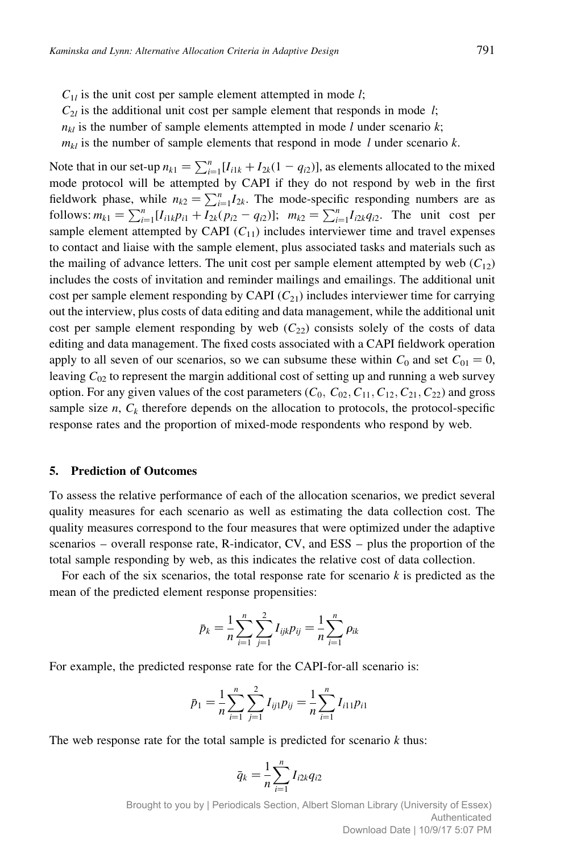$C_{1l}$  is the unit cost per sample element attempted in mode l;  $C_{2l}$  is the additional unit cost per sample element that responds in mode l;  $n_{kl}$  is the number of sample elements attempted in mode l under scenario k;  $m_{kl}$  is the number of sample elements that respond in mode l under scenario k.

Note that in our set-up  $n_{k1} = \sum_{i=1}^{n} [I_{i1k} + I_{2k}(1 - q_{i2})]$ , as elements allocated to the mixed mode protocol will be attempted by CAPI if they do not respond by web in the first fieldwork phase, while  $n_{k2} = \sum_{i=1}^{n} I_{2k}$ . The mode-specific responding numbers are as follows:  $m_{k1} = \sum_{i=1}^{n} [I_{i1k}p_{i1} + I_{2k}(p_{i2} - q_{i2})];$   $m_{k2} = \sum_{i=1}^{n} I_{i2k}q_{i2}$ . The unit cost per sample element attempted by CAPI  $(C_{11})$  includes interviewer time and travel expenses to contact and liaise with the sample element, plus associated tasks and materials such as the mailing of advance letters. The unit cost per sample element attempted by web  $(C_{12})$ includes the costs of invitation and reminder mailings and emailings. The additional unit cost per sample element responding by CAPI  $(C_{21})$  includes interviewer time for carrying out the interview, plus costs of data editing and data management, while the additional unit cost per sample element responding by web  $(C_{22})$  consists solely of the costs of data editing and data management. The fixed costs associated with a CAPI fieldwork operation apply to all seven of our scenarios, so we can subsume these within  $C_0$  and set  $C_{01} = 0$ , leaving  $C_{02}$  to represent the margin additional cost of setting up and running a web survey option. For any given values of the cost parameters  $(C_0, C_0, C_1, C_2, C_2, C_2)$  and gross sample size  $n$ ,  $C_k$  therefore depends on the allocation to protocols, the protocol-specific response rates and the proportion of mixed-mode respondents who respond by web.

## 5. Prediction of Outcomes

To assess the relative performance of each of the allocation scenarios, we predict several quality measures for each scenario as well as estimating the data collection cost. The quality measures correspond to the four measures that were optimized under the adaptive scenarios – overall response rate, R-indicator, CV, and ESS – plus the proportion of the total sample responding by web, as this indicates the relative cost of data collection.

For each of the six scenarios, the total response rate for scenario  $k$  is predicted as the mean of the predicted element response propensities:

$$
\bar{p}_k = \frac{1}{n} \sum_{i=1}^n \sum_{j=1}^2 I_{ijk} p_{ij} = \frac{1}{n} \sum_{i=1}^n \rho_{ik}
$$

For example, the predicted response rate for the CAPI-for-all scenario is:

$$
\bar{p}_1 = \frac{1}{n} \sum_{i=1}^n \sum_{j=1}^2 I_{ij1} p_{ij} = \frac{1}{n} \sum_{i=1}^n I_{i11} p_{i1}
$$

The web response rate for the total sample is predicted for scenario  $k$  thus:

$$
\bar{q}_k = \frac{1}{n} \sum_{i=1}^n I_{i2k} q_{i2}
$$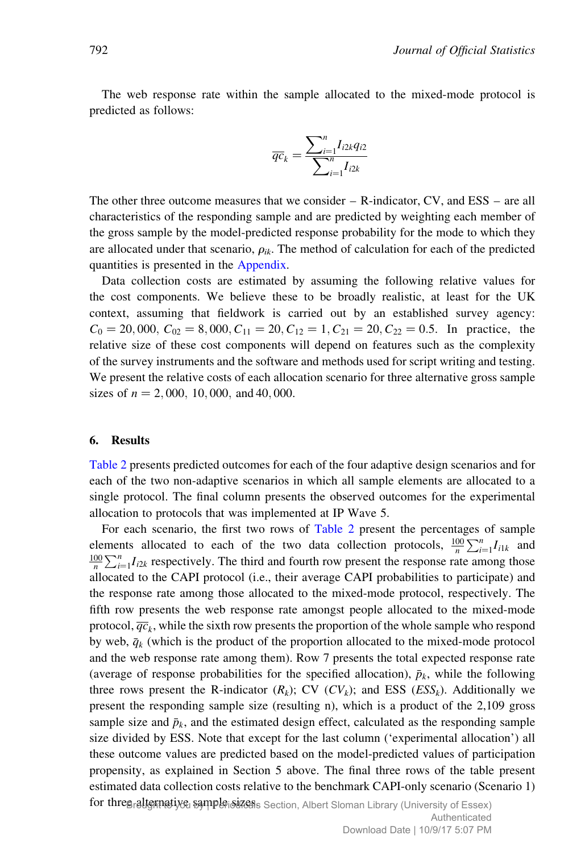The web response rate within the sample allocated to the mixed-mode protocol is predicted as follows:

$$
\overline{qc}_k = \frac{\sum_{i=1}^n I_{i2k}q_{i2}}{\sum_{i=1}^n I_{i2k}}
$$

The other three outcome measures that we consider – R-indicator, CV, and ESS – are all characteristics of the responding sample and are predicted by weighting each member of the gross sample by the model-predicted response probability for the mode to which they are allocated under that scenario,  $\rho_{ik}$ . The method of calculation for each of the predicted quantities is presented in the [Appendix](#page-15-0).

Data collection costs are estimated by assuming the following relative values for the cost components. We believe these to be broadly realistic, at least for the UK context, assuming that fieldwork is carried out by an established survey agency:  $C_0 = 20,000, C_{02} = 8,000, C_{11} = 20, C_{12} = 1, C_{21} = 20, C_{22} = 0.5$ . In practice, the relative size of these cost components will depend on features such as the complexity of the survey instruments and the software and methods used for script writing and testing. We present the relative costs of each allocation scenario for three alternative gross sample sizes of  $n = 2,000, 10,000,$  and 40,000.

#### 6. Results

[Table 2](#page-12-0) presents predicted outcomes for each of the four adaptive design scenarios and for each of the two non-adaptive scenarios in which all sample elements are allocated to a single protocol. The final column presents the observed outcomes for the experimental allocation to protocols that was implemented at IP Wave 5.

For each scenario, the first two rows of [Table 2](#page-12-0) present the percentages of sample elements allocated to each of the two data collection protocols,  $\frac{100}{n}$  $\sum_{i=1}^{n} I_{i1k}$  and  $\frac{100}{n} \sum_{i=1}^{n} I_{i2k}$  respectively. The third and fourth row present the response rate among those allocated to the CAPI protocol (i.e., their average CAPI probabilities to participate) and the response rate among those allocated to the mixed-mode protocol, respectively. The fifth row presents the web response rate amongst people allocated to the mixed-mode protocol,  $\overline{qc}_k$ , while the sixth row presents the proportion of the whole sample who respond by web,  $\bar{q}_k$  (which is the product of the proportion allocated to the mixed-mode protocol and the web response rate among them). Row 7 presents the total expected response rate (average of response probabilities for the specified allocation),  $\bar{p}_k$ , while the following three rows present the R-indicator  $(R_k)$ ; CV  $(CV_k)$ ; and ESS  $(ESS_k)$ . Additionally we present the responding sample size (resulting n), which is a product of the 2,109 gross sample size and  $\bar{p}_k$ , and the estimated design effect, calculated as the responding sample size divided by ESS. Note that except for the last column ('experimental allocation') all these outcome values are predicted based on the model-predicted values of participation propensity, as explained in Section 5 above. The final three rows of the table present estimated data collection costs relative to the benchmark CAPI-only scenario (Scenario 1)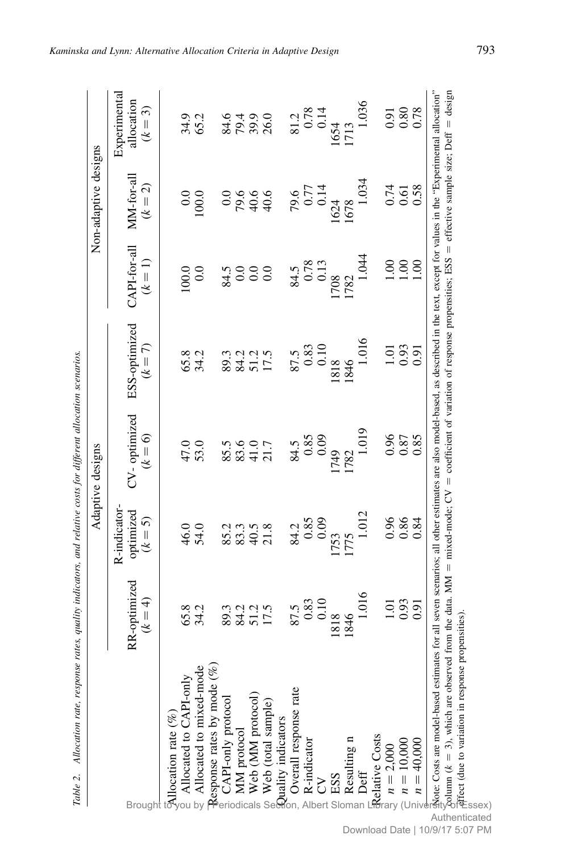|                                                                                                                                                                                                                                                                                                                                                                                                                          |                                                     |                                        | Adaptive designs          |                            |                                                     | Non-adaptive designs                             |                                                     |
|--------------------------------------------------------------------------------------------------------------------------------------------------------------------------------------------------------------------------------------------------------------------------------------------------------------------------------------------------------------------------------------------------------------------------|-----------------------------------------------------|----------------------------------------|---------------------------|----------------------------|-----------------------------------------------------|--------------------------------------------------|-----------------------------------------------------|
| Brought                                                                                                                                                                                                                                                                                                                                                                                                                  | RR-optimized<br>$(k = 4)$<br>$\mathsf{l}$           | R-indicator-<br>optimized<br>$(k = 5)$ | CV-optimized<br>$(k = 6)$ | ESS-optimized<br>$(k = 7)$ | CAPI-for-all<br>$(k=1)$                             | MM-for-all<br>$(k = 2)$                          | Experimental<br>allocation<br>$(k = 3)$             |
| (Allocated to CAPI-only<br>(Allocated to CAPI-only<br>Allocated to mixed-mode<br>Allocated to mixed-mode<br>(%)<br>Allocated to mixed-mode<br>(%)<br>Allocated to mixed-mode<br>(%)<br>MA protocol<br>NA protocol<br>(%)<br>Web (total sample)<br>(%)<br>                                                                                                                                                                | 65.8                                                |                                        |                           | 65.8                       | 100.0                                               |                                                  | 34.9                                                |
|                                                                                                                                                                                                                                                                                                                                                                                                                          | 34.2                                                | 46.0<br>54.0                           | 47.0<br>53.0              | 34.2                       | 0.0                                                 | $\begin{array}{c} 0.0 \\ 0.0 \\ 0.0 \end{array}$ | 65.2                                                |
|                                                                                                                                                                                                                                                                                                                                                                                                                          |                                                     |                                        |                           |                            |                                                     |                                                  |                                                     |
|                                                                                                                                                                                                                                                                                                                                                                                                                          |                                                     |                                        |                           |                            |                                                     |                                                  |                                                     |
|                                                                                                                                                                                                                                                                                                                                                                                                                          |                                                     |                                        |                           |                            |                                                     |                                                  |                                                     |
|                                                                                                                                                                                                                                                                                                                                                                                                                          |                                                     | 2<br>839421<br>83421                   | s<br>8845<br>8845         | 33125<br>33515             | 20000                                               | 0.0.0.0<br>0.0.0.0<br>0.0.0.0                    | 8<br>8<br>8<br>8<br>8<br>8<br>8<br>8<br>8<br>8      |
|                                                                                                                                                                                                                                                                                                                                                                                                                          |                                                     |                                        |                           |                            |                                                     |                                                  |                                                     |
|                                                                                                                                                                                                                                                                                                                                                                                                                          |                                                     |                                        |                           |                            |                                                     |                                                  |                                                     |
|                                                                                                                                                                                                                                                                                                                                                                                                                          | $\begin{array}{c} 87.5 \\ 0.83 \\ 0.10 \end{array}$ |                                        | $84.5$<br>0.85            | $\frac{87.5}{0.83}$        | $\begin{array}{c} 84.5 \\ 0.78 \\ 0.13 \end{array}$ | $79.6$<br>0.77<br>0.14                           | $\begin{array}{c} 81.2 \\ 0.78 \\ 0.14 \end{array}$ |
|                                                                                                                                                                                                                                                                                                                                                                                                                          |                                                     |                                        |                           |                            |                                                     |                                                  |                                                     |
|                                                                                                                                                                                                                                                                                                                                                                                                                          |                                                     | $84.2$<br>0.85<br>0.09                 | 0.09                      | $0.10\,$                   |                                                     |                                                  |                                                     |
|                                                                                                                                                                                                                                                                                                                                                                                                                          |                                                     |                                        |                           |                            |                                                     |                                                  |                                                     |
|                                                                                                                                                                                                                                                                                                                                                                                                                          | 1818<br>1846                                        |                                        | 1749<br>1782              | 1818<br>1846               | 1708<br>1782                                        | 1624<br>1678                                     | 1654<br>1713                                        |
|                                                                                                                                                                                                                                                                                                                                                                                                                          | 1.016                                               | $\frac{1753}{1775}$<br>1775<br>1.012   | 1.019                     | 1.016                      | 1.044                                               | 1.034                                            | 1.036                                               |
|                                                                                                                                                                                                                                                                                                                                                                                                                          |                                                     |                                        |                           |                            |                                                     |                                                  |                                                     |
|                                                                                                                                                                                                                                                                                                                                                                                                                          |                                                     | 0.96                                   |                           |                            |                                                     |                                                  |                                                     |
|                                                                                                                                                                                                                                                                                                                                                                                                                          | $\frac{101}{0.93}$                                  | 0.84                                   | 880<br>280<br>200         | $\frac{1.01}{0.93}$        | $rac{88}{110}$                                      | $0.58$<br>$0.08$                                 | $\begin{array}{c} 0.91 \\ 0.80 \\ 0.78 \end{array}$ |
|                                                                                                                                                                                                                                                                                                                                                                                                                          |                                                     |                                        |                           |                            |                                                     |                                                  |                                                     |
| Note: Costs are model-based estimates for all seven scenarios; all other estimates are also model-based, as described in the text, except for values in the "Experimental allocation"<br>folumn $(k = 3)$ , which are observed from the data. MM = mixed-mode, CV = coefficient of variation of response propensities; ESS = effective sample size; Deff = design<br>effect (due to variation in response propensities). |                                                     |                                        |                           |                            |                                                     |                                                  |                                                     |

Table 2. Allocation rate, response rates, auglity indicators, and relative costs for different allocation scenarios Table 2. Allocation rate, response rates, quality indicators, and relative costs for different allocation scenarios.

<span id="page-12-0"></span>Kaminska and Lynn: Alternative Allocation Criteria in Adaptive Design 793

Authenticated Download Date | 10/9/17 5:07 PM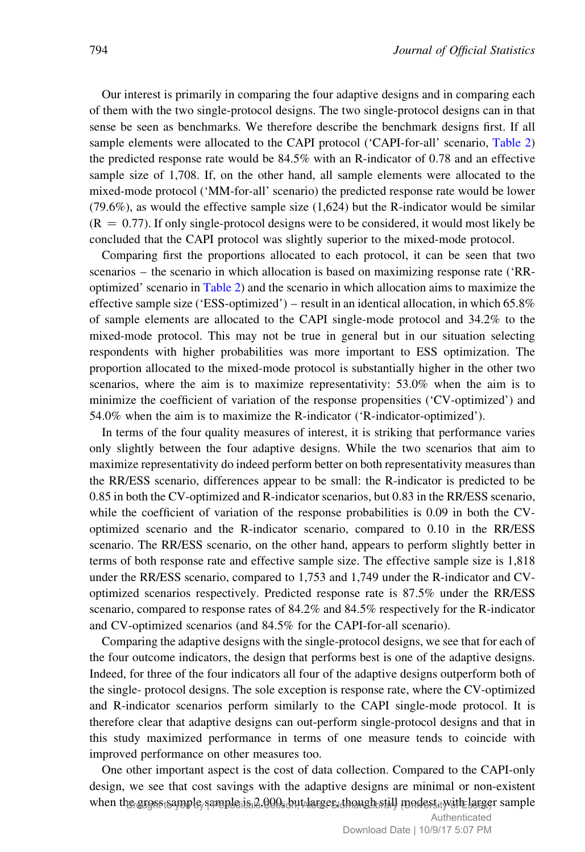Our interest is primarily in comparing the four adaptive designs and in comparing each of them with the two single-protocol designs. The two single-protocol designs can in that sense be seen as benchmarks. We therefore describe the benchmark designs first. If all sample elements were allocated to the CAPI protocol ('CAPI-for-all' scenario, [Table 2](#page-12-0)) the predicted response rate would be 84.5% with an R-indicator of 0.78 and an effective sample size of 1,708. If, on the other hand, all sample elements were allocated to the mixed-mode protocol ('MM-for-all' scenario) the predicted response rate would be lower  $(79.6\%)$ , as would the effective sample size  $(1.624)$  but the R-indicator would be similar  $(R = 0.77)$ . If only single-protocol designs were to be considered, it would most likely be concluded that the CAPI protocol was slightly superior to the mixed-mode protocol.

Comparing first the proportions allocated to each protocol, it can be seen that two scenarios – the scenario in which allocation is based on maximizing response rate ('RRoptimized' scenario in [Table 2\)](#page-12-0) and the scenario in which allocation aims to maximize the effective sample size ('ESS-optimized') – result in an identical allocation, in which  $65.8\%$ of sample elements are allocated to the CAPI single-mode protocol and 34.2% to the mixed-mode protocol. This may not be true in general but in our situation selecting respondents with higher probabilities was more important to ESS optimization. The proportion allocated to the mixed-mode protocol is substantially higher in the other two scenarios, where the aim is to maximize representativity: 53.0% when the aim is to minimize the coefficient of variation of the response propensities ('CV-optimized') and 54.0% when the aim is to maximize the R-indicator ('R-indicator-optimized').

In terms of the four quality measures of interest, it is striking that performance varies only slightly between the four adaptive designs. While the two scenarios that aim to maximize representativity do indeed perform better on both representativity measures than the RR/ESS scenario, differences appear to be small: the R-indicator is predicted to be 0.85 in both the CV-optimized and R-indicator scenarios, but 0.83 in the RR/ESS scenario, while the coefficient of variation of the response probabilities is 0.09 in both the CVoptimized scenario and the R-indicator scenario, compared to 0.10 in the RR/ESS scenario. The RR/ESS scenario, on the other hand, appears to perform slightly better in terms of both response rate and effective sample size. The effective sample size is 1,818 under the RR/ESS scenario, compared to 1,753 and 1,749 under the R-indicator and CVoptimized scenarios respectively. Predicted response rate is 87.5% under the RR/ESS scenario, compared to response rates of 84.2% and 84.5% respectively for the R-indicator and CV-optimized scenarios (and 84.5% for the CAPI-for-all scenario).

Comparing the adaptive designs with the single-protocol designs, we see that for each of the four outcome indicators, the design that performs best is one of the adaptive designs. Indeed, for three of the four indicators all four of the adaptive designs outperform both of the single- protocol designs. The sole exception is response rate, where the CV-optimized and R-indicator scenarios perform similarly to the CAPI single-mode protocol. It is therefore clear that adaptive designs can out-perform single-protocol designs and that in this study maximized performance in terms of one measure tends to coincide with improved performance on other measures too.

One other important aspect is the cost of data collection. Compared to the CAPI-only design, we see that cost savings with the adaptive designs are minimal or non-existent when the  $\alpha$ rgss isample, sample is 2,000; out darger, though still modest invite larger sample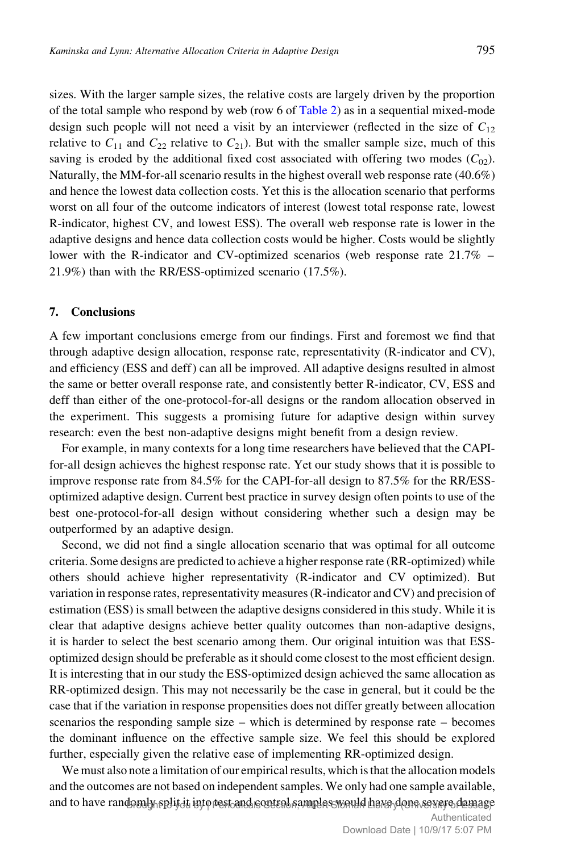sizes. With the larger sample sizes, the relative costs are largely driven by the proportion of the total sample who respond by web (row 6 of [Table 2\)](#page-12-0) as in a sequential mixed-mode design such people will not need a visit by an interviewer (reflected in the size of  $C_{12}$ ) relative to  $C_{11}$  and  $C_{22}$  relative to  $C_{21}$ ). But with the smaller sample size, much of this saving is eroded by the additional fixed cost associated with offering two modes  $(C_{02})$ . Naturally, the MM-for-all scenario results in the highest overall web response rate (40.6%) and hence the lowest data collection costs. Yet this is the allocation scenario that performs worst on all four of the outcome indicators of interest (lowest total response rate, lowest R-indicator, highest CV, and lowest ESS). The overall web response rate is lower in the adaptive designs and hence data collection costs would be higher. Costs would be slightly lower with the R-indicator and CV-optimized scenarios (web response rate 21.7% – 21.9%) than with the RR/ESS-optimized scenario (17.5%).

## 7. Conclusions

A few important conclusions emerge from our findings. First and foremost we find that through adaptive design allocation, response rate, representativity (R-indicator and CV), and efficiency (ESS and deff) can all be improved. All adaptive designs resulted in almost the same or better overall response rate, and consistently better R-indicator, CV, ESS and deff than either of the one-protocol-for-all designs or the random allocation observed in the experiment. This suggests a promising future for adaptive design within survey research: even the best non-adaptive designs might benefit from a design review.

For example, in many contexts for a long time researchers have believed that the CAPIfor-all design achieves the highest response rate. Yet our study shows that it is possible to improve response rate from 84.5% for the CAPI-for-all design to 87.5% for the RR/ESSoptimized adaptive design. Current best practice in survey design often points to use of the best one-protocol-for-all design without considering whether such a design may be outperformed by an adaptive design.

Second, we did not find a single allocation scenario that was optimal for all outcome criteria. Some designs are predicted to achieve a higher response rate (RR-optimized) while others should achieve higher representativity (R-indicator and CV optimized). But variation in response rates, representativity measures (R-indicator and CV) and precision of estimation (ESS) is small between the adaptive designs considered in this study. While it is clear that adaptive designs achieve better quality outcomes than non-adaptive designs, it is harder to select the best scenario among them. Our original intuition was that ESSoptimized design should be preferable as it should come closest to the most efficient design. It is interesting that in our study the ESS-optimized design achieved the same allocation as RR-optimized design. This may not necessarily be the case in general, but it could be the case that if the variation in response propensities does not differ greatly between allocation scenarios the responding sample size – which is determined by response rate – becomes the dominant influence on the effective sample size. We feel this should be explored further, especially given the relative ease of implementing RR-optimized design.

We must also note a limitation of our empirical results, which is that the allocation models and the outcomes are not based on independent samples. We only had one sample available, and to have randomly split it into test and control samples would have done severe damage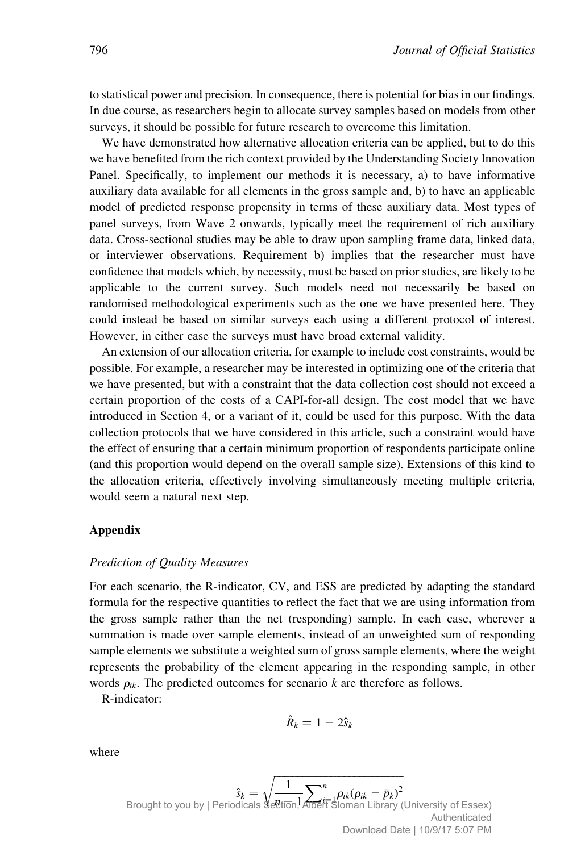<span id="page-15-0"></span>to statistical power and precision. In consequence, there is potential for bias in our findings. In due course, as researchers begin to allocate survey samples based on models from other surveys, it should be possible for future research to overcome this limitation.

We have demonstrated how alternative allocation criteria can be applied, but to do this we have benefited from the rich context provided by the Understanding Society Innovation Panel. Specifically, to implement our methods it is necessary, a) to have informative auxiliary data available for all elements in the gross sample and, b) to have an applicable model of predicted response propensity in terms of these auxiliary data. Most types of panel surveys, from Wave 2 onwards, typically meet the requirement of rich auxiliary data. Cross-sectional studies may be able to draw upon sampling frame data, linked data, or interviewer observations. Requirement b) implies that the researcher must have confidence that models which, by necessity, must be based on prior studies, are likely to be applicable to the current survey. Such models need not necessarily be based on randomised methodological experiments such as the one we have presented here. They could instead be based on similar surveys each using a different protocol of interest. However, in either case the surveys must have broad external validity.

An extension of our allocation criteria, for example to include cost constraints, would be possible. For example, a researcher may be interested in optimizing one of the criteria that we have presented, but with a constraint that the data collection cost should not exceed a certain proportion of the costs of a CAPI-for-all design. The cost model that we have introduced in Section 4, or a variant of it, could be used for this purpose. With the data collection protocols that we have considered in this article, such a constraint would have the effect of ensuring that a certain minimum proportion of respondents participate online (and this proportion would depend on the overall sample size). Extensions of this kind to the allocation criteria, effectively involving simultaneously meeting multiple criteria, would seem a natural next step.

## Appendix

#### Prediction of Quality Measures

For each scenario, the R-indicator, CV, and ESS are predicted by adapting the standard formula for the respective quantities to reflect the fact that we are using information from the gross sample rather than the net (responding) sample. In each case, wherever a summation is made over sample elements, instead of an unweighted sum of responding sample elements we substitute a weighted sum of gross sample elements, where the weight represents the probability of the element appearing in the responding sample, in other words  $\rho_{ik}$ . The predicted outcomes for scenario k are therefore as follows.

R-indicator:

$$
\hat{R}_k=1-2\hat{s}_k
$$

where

Brought to you by | Periodicals 
$$
\hat{s}_k = \sqrt{\frac{1}{\text{Alboft}} \sum_{i=1}^{n} \rho_{ik} (\rho_{ik} - \bar{p}_k)^2}
$$

\nBrought to you by | Periodicals  $\text{Selff} = \frac{10}{1009/17507}$  PMhenticated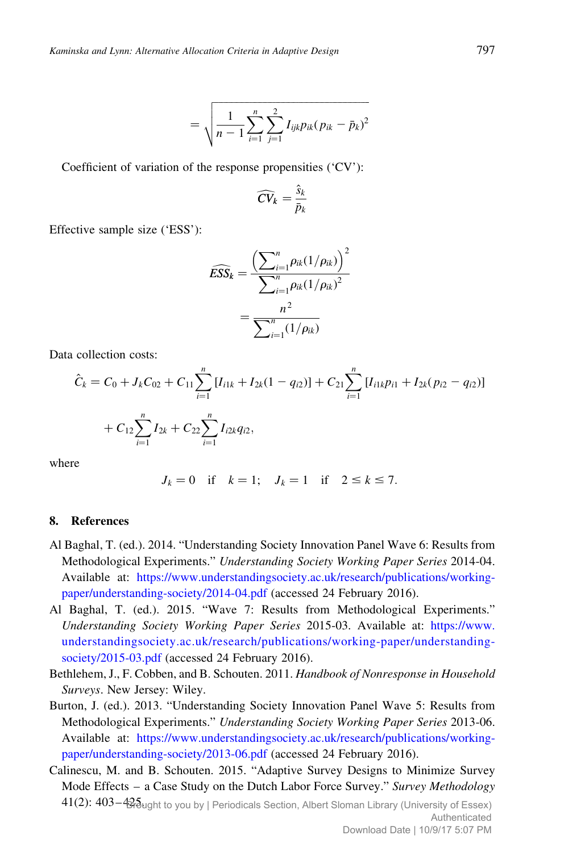$$
= \sqrt{\frac{1}{n-1}\sum_{i=1}^{n}\sum_{j=1}^{2}I_{ijk}p_{ik}(p_{ik}-\bar{p}_{k})^{2}}
$$

<span id="page-16-0"></span>Coefficient of variation of the response propensities ('CV'):

$$
\widehat{CV}_k = \frac{\hat{s}_k}{\bar{p}_k}
$$

Effective sample size ('ESS'):

$$
\widehat{ESS}_k = \frac{\left(\sum_{i=1}^n \rho_{ik}(1/\rho_{ik})\right)^2}{\sum_{i=1}^n \rho_{ik}(1/\rho_{ik})^2}
$$

$$
= \frac{n^2}{\sum_{i=1}^n (1/\rho_{ik})}
$$

Data collection costs:

$$
\hat{C}_k = C_0 + J_k C_{02} + C_{11} \sum_{i=1}^n [I_{i1k} + I_{2k}(1 - q_{i2})] + C_{21} \sum_{i=1}^n [I_{i1k}p_{i1} + I_{2k}(p_{i2} - q_{i2})]
$$

$$
+ C_{12} \sum_{i=1}^n I_{2k} + C_{22} \sum_{i=1}^n I_{i2k}q_{i2},
$$

where

$$
J_k = 0
$$
 if  $k = 1$ ;  $J_k = 1$  if  $2 \le k \le 7$ .

## 8. References

- Al Baghal, T. (ed.). 2014. "Understanding Society Innovation Panel Wave 6: Results from Methodological Experiments." Understanding Society Working Paper Series 2014-04. Available at: [https://www.understandingsociety.ac.uk/research/publications/working](https://www.understandingsociety.ac.uk/research/publications/working-paper/understanding-society/2014-04.pdf)[paper/understanding-society/2014-04.pdf](https://www.understandingsociety.ac.uk/research/publications/working-paper/understanding-society/2014-04.pdf) (accessed 24 February 2016).
- Al Baghal, T. (ed.). 2015. "Wave 7: Results from Methodological Experiments." Understanding Society Working Paper Series 2015-03. Available at: [https://www.](https://www.understandingsociety.ac.uk/research/publications/working-paper/understanding-society/2015-03.pdf) [understandingsociety.ac.uk/research/publications/working-paper/understanding](https://www.understandingsociety.ac.uk/research/publications/working-paper/understanding-society/2015-03.pdf)[society/2015-03.pdf](https://www.understandingsociety.ac.uk/research/publications/working-paper/understanding-society/2015-03.pdf) (accessed 24 February 2016).
- Bethlehem, J., F. Cobben, and B. Schouten. 2011. Handbook of Nonresponse in Household Surveys. New Jersey: Wiley.
- Burton, J. (ed.). 2013. "Understanding Society Innovation Panel Wave 5: Results from Methodological Experiments." Understanding Society Working Paper Series 2013-06. Available at: [https://www.understandingsociety.ac.uk/research/publications/working](https://www.understandingsociety.ac.uk/research/publications/working-paper/understanding-society/2013-06.pdf)[paper/understanding-society/2013-06.pdf](https://www.understandingsociety.ac.uk/research/publications/working-paper/understanding-society/2013-06.pdf) (accessed 24 February 2016).
- Calinescu, M. and B. Schouten. 2015. "Adaptive Survey Designs to Minimize Survey Mode Effects – a Case Study on the Dutch Labor Force Survey." Survey Methodology

 $41(2)$ :  $403-4$ ନ୍ଧି $\delta$ ught to you by | Periodicals Section, Albert Sloman Library (University of Essex) Authenticated Download Date | 10/9/17 5:07 PM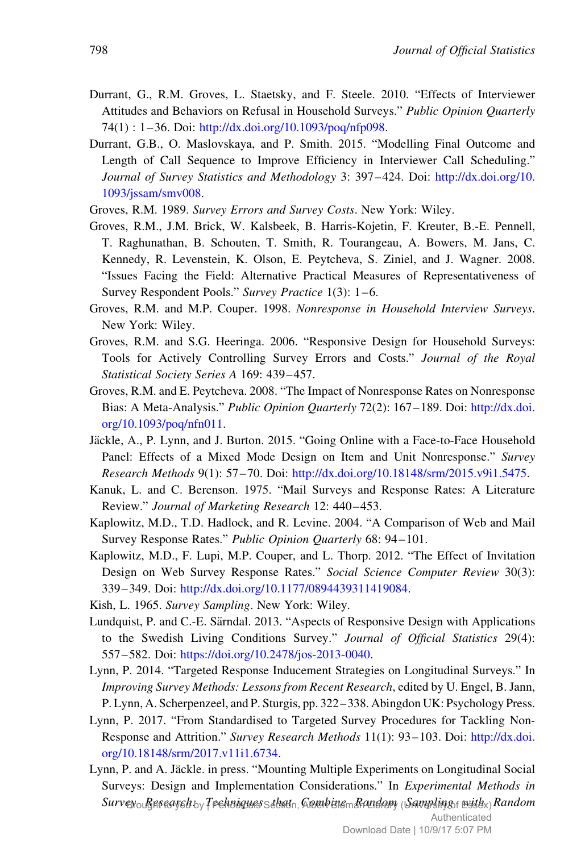- <span id="page-17-0"></span>Durrant, G., R.M. Groves, L. Staetsky, and F. Steele. 2010. "Effects of Interviewer Attitudes and Behaviors on Refusal in Household Surveys." Public Opinion Quarterly 74(1) : 1–36. Doi: [http://dx.doi.org/10.1093/poq/nfp098.](http://dx.doi.org/10.1093/poq/nfp098)
- Durrant, G.B., O. Maslovskaya, and P. Smith. 2015. "Modelling Final Outcome and Length of Call Sequence to Improve Efficiency in Interviewer Call Scheduling." Journal of Survey Statistics and Methodology 3: 397–424. Doi: [http://dx.doi.org/10.](http://dx.doi.org/10.1093/jssam/smv008) [1093/jssam/smv008.](http://dx.doi.org/10.1093/jssam/smv008)
- Groves, R.M. 1989. Survey Errors and Survey Costs. New York: Wiley.
- Groves, R.M., J.M. Brick, W. Kalsbeek, B. Harris-Kojetin, F. Kreuter, B.-E. Pennell, T. Raghunathan, B. Schouten, T. Smith, R. Tourangeau, A. Bowers, M. Jans, C. Kennedy, R. Levenstein, K. Olson, E. Peytcheva, S. Ziniel, and J. Wagner. 2008. "Issues Facing the Field: Alternative Practical Measures of Representativeness of Survey Respondent Pools." Survey Practice 1(3): 1–6.
- Groves, R.M. and M.P. Couper. 1998. Nonresponse in Household Interview Surveys. New York: Wiley.
- Groves, R.M. and S.G. Heeringa. 2006. "Responsive Design for Household Surveys: Tools for Actively Controlling Survey Errors and Costs." Journal of the Royal Statistical Society Series A 169: 439–457.
- Groves, R.M. and E. Peytcheva. 2008. "The Impact of Nonresponse Rates on Nonresponse Bias: A Meta-Analysis." Public Opinion Quarterly 72(2): 167–189. Doi: [http://dx.doi.](http://dx.doi.org/10.1093/poq/nfn011) [org/10.1093/poq/nfn011](http://dx.doi.org/10.1093/poq/nfn011).
- Jäckle, A., P. Lynn, and J. Burton. 2015. "Going Online with a Face-to-Face Household Panel: Effects of a Mixed Mode Design on Item and Unit Nonresponse." Survey Research Methods 9(1): 57–70. Doi: [http://dx.doi.org/10.18148/srm/2015.v9i1.5475.](http://dx.doi.org/10.18148/srm/2015.v9i1.5475)
- Kanuk, L. and C. Berenson. 1975. "Mail Surveys and Response Rates: A Literature Review." Journal of Marketing Research 12: 440–453.
- Kaplowitz, M.D., T.D. Hadlock, and R. Levine. 2004. "A Comparison of Web and Mail Survey Response Rates." Public Opinion Quarterly 68: 94–101.
- Kaplowitz, M.D., F. Lupi, M.P. Couper, and L. Thorp. 2012. "The Effect of Invitation Design on Web Survey Response Rates." Social Science Computer Review 30(3): 339–349. Doi: <http://dx.doi.org/10.1177/0894439311419084>.
- Kish, L. 1965. Survey Sampling. New York: Wiley.
- Lundquist, P. and C.-E. Särndal. 2013. "Aspects of Responsive Design with Applications to the Swedish Living Conditions Survey." Journal of Official Statistics 29(4): 557–582. Doi: [https://doi.org/10.2478/jos-2013-0040.](https://doi.org/10.2478/jos-2013-0040)
- Lynn, P. 2014. "Targeted Response Inducement Strategies on Longitudinal Surveys." In Improving Survey Methods: Lessons from Recent Research, edited by U. Engel, B. Jann, P. Lynn, A. Scherpenzeel, and P. Sturgis, pp. 322–338. Abingdon UK: Psychology Press.
- Lynn, P. 2017. "From Standardised to Targeted Survey Procedures for Tackling Non-Response and Attrition." Survey Research Methods 11(1): 93–103. Doi: [http://dx.doi.](http://dx.doi.org/10.18148/srm/2017.v11i1.6734) [org/10.18148/srm/2017.v11i1.6734.](http://dx.doi.org/10.18148/srm/2017.v11i1.6734)
- Lynn, P. and A. Jäckle. in press. "Mounting Multiple Experiments on Longitudinal Social Surveys: Design and Implementation Considerations." In Experimental Methods in Survey<sub>0U</sub>Basearch: Techniques s that , Combinem:Random (Samplings mith) Random